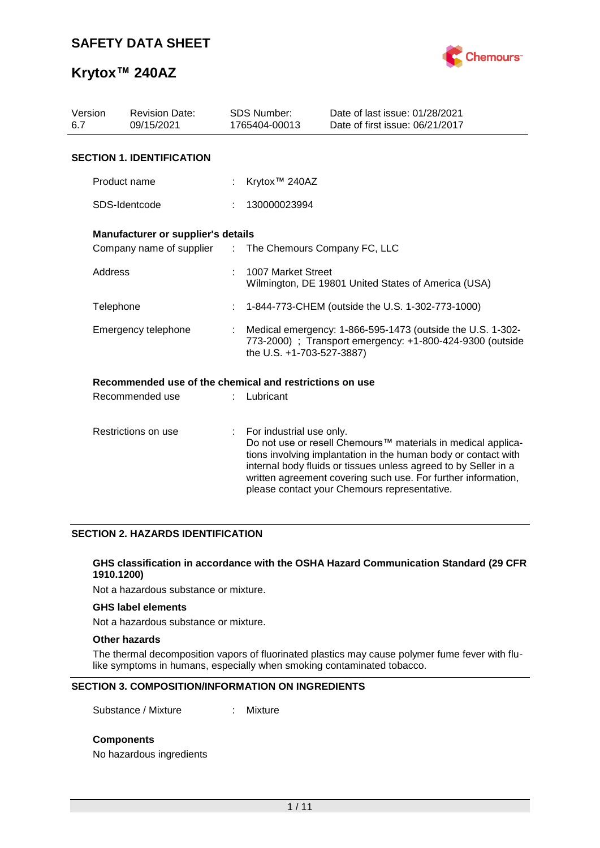

| Version<br>6.7      | <b>Revision Date:</b><br>09/15/2021                     |                             | <b>SDS Number:</b><br>1765404-00013                                                                                                                  | Date of last issue: 01/28/2021<br>Date of first issue: 06/21/2017                                                                                                                                                                                                                                                  |  |  |  |  |
|---------------------|---------------------------------------------------------|-----------------------------|------------------------------------------------------------------------------------------------------------------------------------------------------|--------------------------------------------------------------------------------------------------------------------------------------------------------------------------------------------------------------------------------------------------------------------------------------------------------------------|--|--|--|--|
|                     | <b>SECTION 1. IDENTIFICATION</b>                        |                             |                                                                                                                                                      |                                                                                                                                                                                                                                                                                                                    |  |  |  |  |
|                     | Product name                                            |                             | Krytox <sup>™</sup> 240AZ                                                                                                                            |                                                                                                                                                                                                                                                                                                                    |  |  |  |  |
|                     | SDS-Identcode                                           |                             | 130000023994                                                                                                                                         |                                                                                                                                                                                                                                                                                                                    |  |  |  |  |
|                     | <b>Manufacturer or supplier's details</b>               |                             |                                                                                                                                                      |                                                                                                                                                                                                                                                                                                                    |  |  |  |  |
|                     | Company name of supplier                                | $\mathcal{L}^{\mathcal{L}}$ | The Chemours Company FC, LLC                                                                                                                         |                                                                                                                                                                                                                                                                                                                    |  |  |  |  |
| Address             |                                                         |                             | 1007 Market Street<br>Wilmington, DE 19801 United States of America (USA)                                                                            |                                                                                                                                                                                                                                                                                                                    |  |  |  |  |
| Telephone           |                                                         | ÷                           | 1-844-773-CHEM (outside the U.S. 1-302-773-1000)                                                                                                     |                                                                                                                                                                                                                                                                                                                    |  |  |  |  |
| Emergency telephone |                                                         |                             | Medical emergency: 1-866-595-1473 (outside the U.S. 1-302-<br>773-2000) ; Transport emergency: +1-800-424-9300 (outside<br>the U.S. +1-703-527-3887) |                                                                                                                                                                                                                                                                                                                    |  |  |  |  |
|                     | Recommended use of the chemical and restrictions on use |                             |                                                                                                                                                      |                                                                                                                                                                                                                                                                                                                    |  |  |  |  |
| Recommended use     |                                                         |                             | Lubricant                                                                                                                                            |                                                                                                                                                                                                                                                                                                                    |  |  |  |  |
| Restrictions on use |                                                         | ÷.                          | For industrial use only.                                                                                                                             | Do not use or resell Chemours™ materials in medical applica-<br>tions involving implantation in the human body or contact with<br>internal body fluids or tissues unless agreed to by Seller in a<br>written agreement covering such use. For further information,<br>please contact your Chemours representative. |  |  |  |  |

### **SECTION 2. HAZARDS IDENTIFICATION**

#### **GHS classification in accordance with the OSHA Hazard Communication Standard (29 CFR 1910.1200)**

Not a hazardous substance or mixture.

### **GHS label elements**

Not a hazardous substance or mixture.

#### **Other hazards**

The thermal decomposition vapors of fluorinated plastics may cause polymer fume fever with flulike symptoms in humans, especially when smoking contaminated tobacco.

### **SECTION 3. COMPOSITION/INFORMATION ON INGREDIENTS**

Substance / Mixture : Mixture

### **Components**

No hazardous ingredients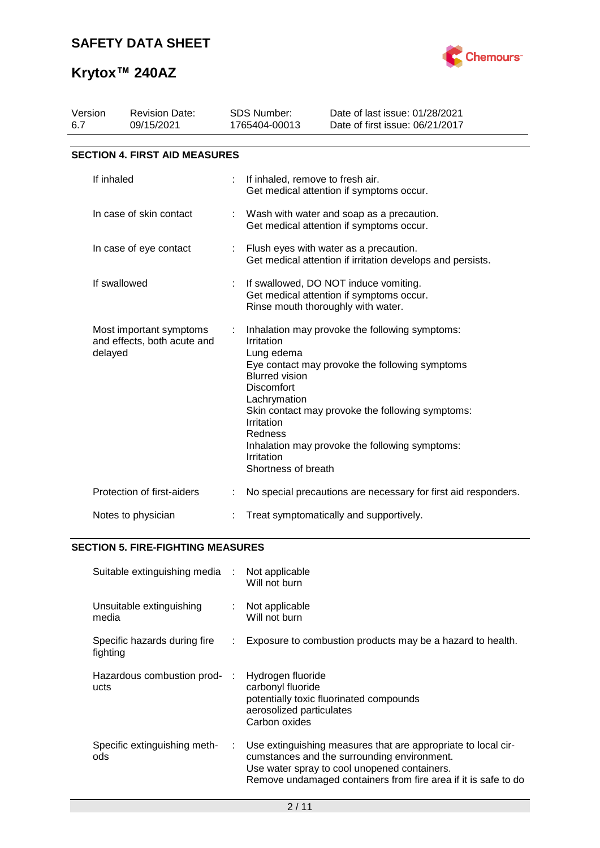

| Version<br>6.7                                                    | <b>Revision Date:</b><br>09/15/2021  |    | <b>SDS Number:</b><br>1765404-00013                                                                                                                                                                                                                                                                                                                            | Date of last issue: 01/28/2021<br>Date of first issue: 06/21/2017                                    |  |  |  |  |
|-------------------------------------------------------------------|--------------------------------------|----|----------------------------------------------------------------------------------------------------------------------------------------------------------------------------------------------------------------------------------------------------------------------------------------------------------------------------------------------------------------|------------------------------------------------------------------------------------------------------|--|--|--|--|
|                                                                   | <b>SECTION 4. FIRST AID MEASURES</b> |    |                                                                                                                                                                                                                                                                                                                                                                |                                                                                                      |  |  |  |  |
| If inhaled                                                        |                                      |    | If inhaled, remove to fresh air.                                                                                                                                                                                                                                                                                                                               | Get medical attention if symptoms occur.                                                             |  |  |  |  |
| In case of skin contact                                           |                                      |    |                                                                                                                                                                                                                                                                                                                                                                | Wash with water and soap as a precaution.<br>Get medical attention if symptoms occur.                |  |  |  |  |
| In case of eye contact                                            |                                      | ÷. |                                                                                                                                                                                                                                                                                                                                                                | Flush eyes with water as a precaution.<br>Get medical attention if irritation develops and persists. |  |  |  |  |
| If swallowed                                                      |                                      |    | If swallowed, DO NOT induce vomiting.<br>Get medical attention if symptoms occur.<br>Rinse mouth thoroughly with water.                                                                                                                                                                                                                                        |                                                                                                      |  |  |  |  |
| Most important symptoms<br>and effects, both acute and<br>delayed |                                      |    | Inhalation may provoke the following symptoms:<br>Irritation<br>Lung edema<br>Eye contact may provoke the following symptoms<br><b>Blurred vision</b><br><b>Discomfort</b><br>Lachrymation<br>Skin contact may provoke the following symptoms:<br>Irritation<br>Redness<br>Inhalation may provoke the following symptoms:<br>Irritation<br>Shortness of breath |                                                                                                      |  |  |  |  |
|                                                                   | Protection of first-aiders           |    |                                                                                                                                                                                                                                                                                                                                                                | No special precautions are necessary for first aid responders.                                       |  |  |  |  |
| Notes to physician                                                |                                      |    | Treat symptomatically and supportively.                                                                                                                                                                                                                                                                                                                        |                                                                                                      |  |  |  |  |

## **SECTION 5. FIRE-FIGHTING MEASURES**

| Suitable extinguishing media             | $\sim 10^7$ | Not applicable<br>Will not burn                                                                                                                                                                                                |
|------------------------------------------|-------------|--------------------------------------------------------------------------------------------------------------------------------------------------------------------------------------------------------------------------------|
| Unsuitable extinguishing<br>media        | ÷.          | Not applicable<br>Will not burn                                                                                                                                                                                                |
| Specific hazards during fire<br>fighting | ÷.          | Exposure to combustion products may be a hazard to health.                                                                                                                                                                     |
| Hazardous combustion prod-<br>ucts       |             | Hydrogen fluoride<br>carbonyl fluoride<br>potentially toxic fluorinated compounds<br>aerosolized particulates<br>Carbon oxides                                                                                                 |
| Specific extinguishing meth-<br>ods      | ÷.          | Use extinguishing measures that are appropriate to local cir-<br>cumstances and the surrounding environment.<br>Use water spray to cool unopened containers.<br>Remove undamaged containers from fire area if it is safe to do |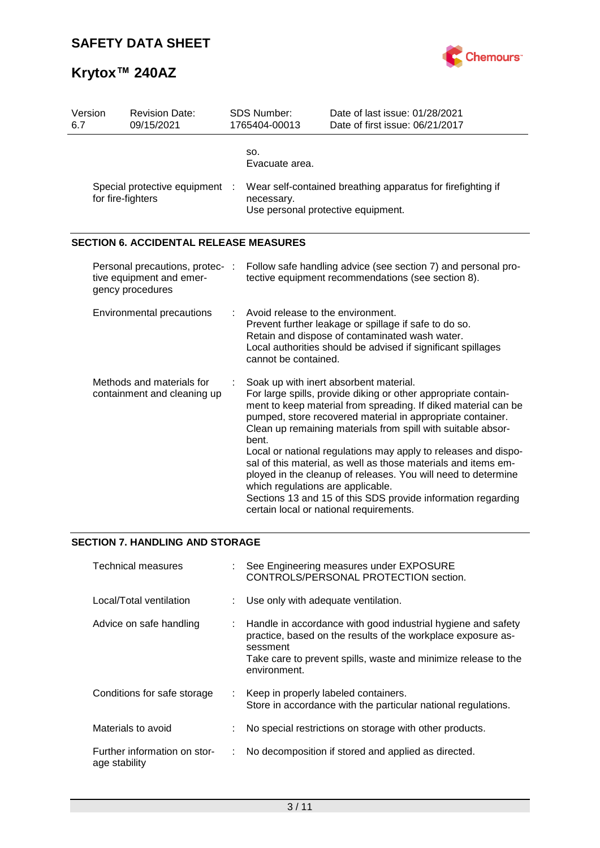

| Version<br>6.7                                                                  | <b>Revision Date:</b><br>09/15/2021                                                                                                                                                                                                                               |  | <b>SDS Number:</b><br>1765404-00013                                                                                 | Date of last issue: 01/28/2021<br>Date of first issue: 06/21/2017                                                                                                                                                                                                                                                                                                                                                                                                                                                                                                                                                        |  |  |  |
|---------------------------------------------------------------------------------|-------------------------------------------------------------------------------------------------------------------------------------------------------------------------------------------------------------------------------------------------------------------|--|---------------------------------------------------------------------------------------------------------------------|--------------------------------------------------------------------------------------------------------------------------------------------------------------------------------------------------------------------------------------------------------------------------------------------------------------------------------------------------------------------------------------------------------------------------------------------------------------------------------------------------------------------------------------------------------------------------------------------------------------------------|--|--|--|
|                                                                                 |                                                                                                                                                                                                                                                                   |  | SO.<br>Evacuate area.                                                                                               |                                                                                                                                                                                                                                                                                                                                                                                                                                                                                                                                                                                                                          |  |  |  |
| Special protective equipment<br>for fire-fighters                               |                                                                                                                                                                                                                                                                   |  | Wear self-contained breathing apparatus for firefighting if<br>necessary.<br>Use personal protective equipment.     |                                                                                                                                                                                                                                                                                                                                                                                                                                                                                                                                                                                                                          |  |  |  |
|                                                                                 | <b>SECTION 6. ACCIDENTAL RELEASE MEASURES</b>                                                                                                                                                                                                                     |  |                                                                                                                     |                                                                                                                                                                                                                                                                                                                                                                                                                                                                                                                                                                                                                          |  |  |  |
| Personal precautions, protec- :<br>tive equipment and emer-<br>gency procedures |                                                                                                                                                                                                                                                                   |  | Follow safe handling advice (see section 7) and personal pro-<br>tective equipment recommendations (see section 8). |                                                                                                                                                                                                                                                                                                                                                                                                                                                                                                                                                                                                                          |  |  |  |
|                                                                                 | Avoid release to the environment.<br>Environmental precautions<br>Prevent further leakage or spillage if safe to do so.<br>Retain and dispose of contaminated wash water.<br>Local authorities should be advised if significant spillages<br>cannot be contained. |  |                                                                                                                     |                                                                                                                                                                                                                                                                                                                                                                                                                                                                                                                                                                                                                          |  |  |  |
| Methods and materials for<br>containment and cleaning up                        |                                                                                                                                                                                                                                                                   |  | bent.<br>which regulations are applicable.                                                                          | Soak up with inert absorbent material.<br>For large spills, provide diking or other appropriate contain-<br>ment to keep material from spreading. If diked material can be<br>pumped, store recovered material in appropriate container.<br>Clean up remaining materials from spill with suitable absor-<br>Local or national regulations may apply to releases and dispo-<br>sal of this material, as well as those materials and items em-<br>ployed in the cleanup of releases. You will need to determine<br>Sections 13 and 15 of this SDS provide information regarding<br>certain local or national requirements. |  |  |  |

### **SECTION 7. HANDLING AND STORAGE**

| <b>Technical measures</b>                     |                | See Engineering measures under EXPOSURE<br>CONTROLS/PERSONAL PROTECTION section.                                                                                                                                           |
|-----------------------------------------------|----------------|----------------------------------------------------------------------------------------------------------------------------------------------------------------------------------------------------------------------------|
| Local/Total ventilation                       |                | Use only with adequate ventilation.                                                                                                                                                                                        |
| Advice on safe handling                       | ÷              | Handle in accordance with good industrial hygiene and safety<br>practice, based on the results of the workplace exposure as-<br>sessment<br>Take care to prevent spills, waste and minimize release to the<br>environment. |
| Conditions for safe storage                   | $\mathbb{R}^n$ | Keep in properly labeled containers.<br>Store in accordance with the particular national regulations.                                                                                                                      |
| Materials to avoid                            | ÷              | No special restrictions on storage with other products.                                                                                                                                                                    |
| Further information on stor-<br>age stability |                | No decomposition if stored and applied as directed.                                                                                                                                                                        |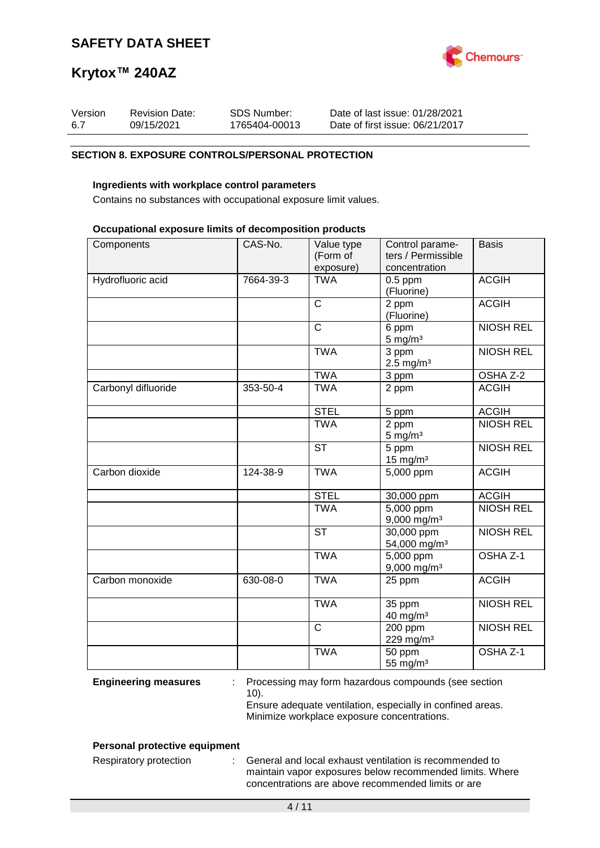

| Version | <b>Revision Date:</b> | SDS Number:   | Date of last issue: 01/28/2021  |
|---------|-----------------------|---------------|---------------------------------|
| 6.7     | 09/15/2021            | 1765404-00013 | Date of first issue: 06/21/2017 |

### **SECTION 8. EXPOSURE CONTROLS/PERSONAL PROTECTION**

### **Ingredients with workplace control parameters**

Contains no substances with occupational exposure limit values.

#### **Occupational exposure limits of decomposition products**

| Components          | CAS-No.   | Value type<br>(Form of<br>exposure) | Control parame-<br>ters / Permissible<br>concentration | <b>Basis</b>        |
|---------------------|-----------|-------------------------------------|--------------------------------------------------------|---------------------|
| Hydrofluoric acid   | 7664-39-3 | <b>TWA</b>                          | $0.5$ ppm<br>(Fluorine)                                | <b>ACGIH</b>        |
|                     |           | $\mathsf{C}$                        | 2 ppm<br>(Fluorine)                                    | <b>ACGIH</b>        |
|                     |           | $\overline{C}$                      | 6 ppm<br>$5 \text{ mg/m}^3$                            | <b>NIOSH REL</b>    |
|                     |           | <b>TWA</b>                          | 3 ppm<br>$2.5 \text{ mg/m}^3$                          | <b>NIOSH REL</b>    |
|                     |           | <b>TWA</b>                          | 3 ppm                                                  | OSHA Z-2            |
| Carbonyl difluoride | 353-50-4  | <b>TWA</b>                          | 2 ppm                                                  | <b>ACGIH</b>        |
|                     |           | <b>STEL</b>                         | 5 ppm                                                  | <b>ACGIH</b>        |
|                     |           | <b>TWA</b>                          | 2 ppm<br>$5 \text{ mg/m}^3$                            | <b>NIOSH REL</b>    |
|                     |           | <b>ST</b>                           | 5 ppm<br>$15$ mg/m <sup>3</sup>                        | <b>NIOSH REL</b>    |
| Carbon dioxide      | 124-38-9  | <b>TWA</b>                          | 5,000 ppm                                              | <b>ACGIH</b>        |
|                     |           | <b>STEL</b>                         | 30,000 ppm                                             | <b>ACGIH</b>        |
|                     |           | <b>TWA</b>                          | $\overline{5,000}$ ppm<br>$9,000$ mg/m <sup>3</sup>    | <b>NIOSH REL</b>    |
|                     |           | <b>ST</b>                           | $30,000$ ppm<br>54,000 mg/m <sup>3</sup>               | <b>NIOSH REL</b>    |
|                     |           | <b>TWA</b>                          | 5,000 ppm<br>$9,000$ mg/m <sup>3</sup>                 | OSHA <sub>Z-1</sub> |
| Carbon monoxide     | 630-08-0  | <b>TWA</b>                          | 25 ppm                                                 | <b>ACGIH</b>        |
|                     |           | <b>TWA</b>                          | 35 ppm<br>$40$ mg/m <sup>3</sup>                       | <b>NIOSH REL</b>    |
|                     |           | $\mathsf{C}$                        | 200 ppm<br>229 mg/m <sup>3</sup>                       | <b>NIOSH REL</b>    |
|                     |           | <b>TWA</b>                          | 50 ppm<br>55 mg/m <sup>3</sup>                         | OSHA Z-1            |

**Engineering measures** : Processing may form hazardous compounds (see section 10).

Ensure adequate ventilation, especially in confined areas. Minimize workplace exposure concentrations.

### **Personal protective equipment**

Respiratory protection : General and local exhaust ventilation is recommended to maintain vapor exposures below recommended limits. Where concentrations are above recommended limits or are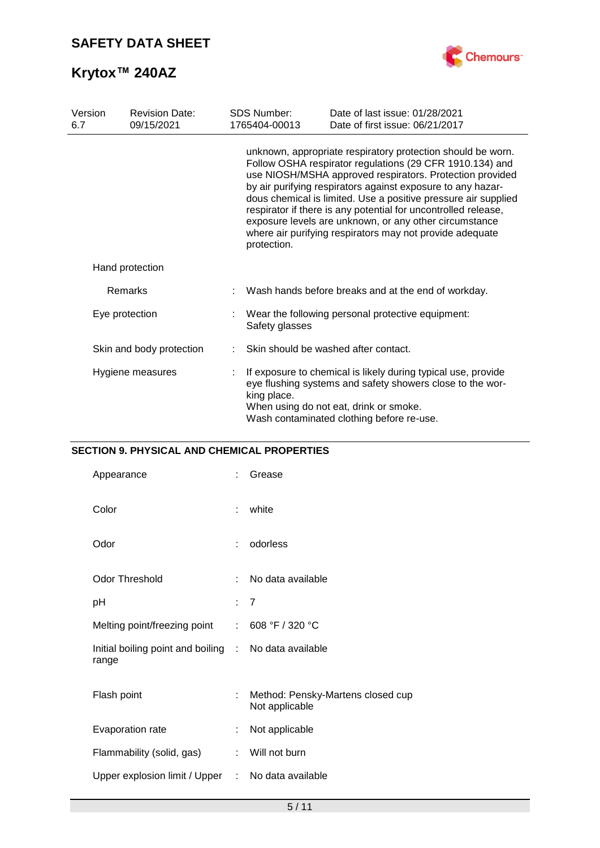

| Version<br>6.7   | <b>Revision Date:</b><br>09/15/2021 | <b>SDS Number:</b><br>1765404-00013                                                                                                                                                                                                                                                                                                                                                                                                                                                                                         | Date of last issue: 01/28/2021<br>Date of first issue: 06/21/2017                                                                                                                                                 |  |  |
|------------------|-------------------------------------|-----------------------------------------------------------------------------------------------------------------------------------------------------------------------------------------------------------------------------------------------------------------------------------------------------------------------------------------------------------------------------------------------------------------------------------------------------------------------------------------------------------------------------|-------------------------------------------------------------------------------------------------------------------------------------------------------------------------------------------------------------------|--|--|
|                  |                                     | unknown, appropriate respiratory protection should be worn.<br>Follow OSHA respirator regulations (29 CFR 1910.134) and<br>use NIOSH/MSHA approved respirators. Protection provided<br>by air purifying respirators against exposure to any hazar-<br>dous chemical is limited. Use a positive pressure air supplied<br>respirator if there is any potential for uncontrolled release,<br>exposure levels are unknown, or any other circumstance<br>where air purifying respirators may not provide adequate<br>protection. |                                                                                                                                                                                                                   |  |  |
|                  | Hand protection                     |                                                                                                                                                                                                                                                                                                                                                                                                                                                                                                                             |                                                                                                                                                                                                                   |  |  |
| <b>Remarks</b>   |                                     | Wash hands before breaks and at the end of workday.                                                                                                                                                                                                                                                                                                                                                                                                                                                                         |                                                                                                                                                                                                                   |  |  |
| Eye protection   |                                     | Safety glasses                                                                                                                                                                                                                                                                                                                                                                                                                                                                                                              | Wear the following personal protective equipment:                                                                                                                                                                 |  |  |
|                  | Skin and body protection            |                                                                                                                                                                                                                                                                                                                                                                                                                                                                                                                             | Skin should be washed after contact.                                                                                                                                                                              |  |  |
| Hygiene measures |                                     | king place.                                                                                                                                                                                                                                                                                                                                                                                                                                                                                                                 | If exposure to chemical is likely during typical use, provide<br>eye flushing systems and safety showers close to the wor-<br>When using do not eat, drink or smoke.<br>Wash contaminated clothing before re-use. |  |  |

### **SECTION 9. PHYSICAL AND CHEMICAL PROPERTIES**

| Appearance                                   | t | Grease                                              |
|----------------------------------------------|---|-----------------------------------------------------|
| Color                                        | t | white                                               |
| Odor                                         | t | odorless                                            |
| <b>Odor Threshold</b>                        | ÷ | No data available                                   |
| рH                                           |   | : 7                                                 |
| Melting point/freezing point                 | ÷ | 608 °F / 320 °C                                     |
| Initial boiling point and boiling :<br>range |   | No data available                                   |
| Flash point                                  | t | Method: Pensky-Martens closed cup<br>Not applicable |
| Evaporation rate                             | ÷ | Not applicable                                      |
| Flammability (solid, gas)                    | ÷ | Will not burn                                       |
| Upper explosion limit / Upper :              |   | No data available                                   |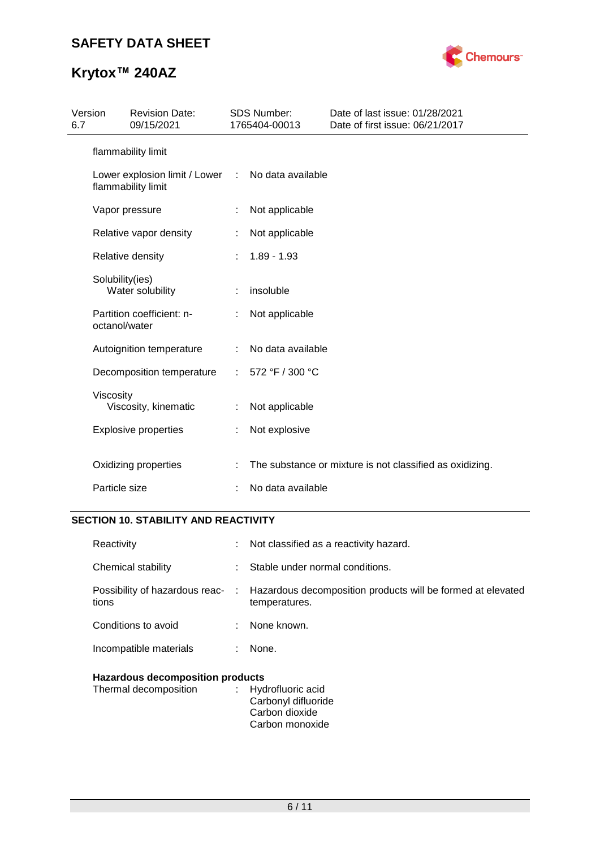

| Version<br>6.7                                      |                          | <b>Revision Date:</b><br>09/15/2021 |                   | <b>SDS Number:</b><br>1765404-00013                      | Date of last issue: 01/28/2021<br>Date of first issue: 06/21/2017 |
|-----------------------------------------------------|--------------------------|-------------------------------------|-------------------|----------------------------------------------------------|-------------------------------------------------------------------|
|                                                     |                          | flammability limit                  |                   |                                                          |                                                                   |
| Lower explosion limit / Lower<br>flammability limit |                          | $\mathcal{L}$                       | No data available |                                                          |                                                                   |
|                                                     |                          | Vapor pressure                      | ÷.                | Not applicable                                           |                                                                   |
|                                                     |                          | Relative vapor density              |                   | Not applicable                                           |                                                                   |
|                                                     |                          | Relative density                    |                   | $1.89 - 1.93$                                            |                                                                   |
|                                                     | Solubility(ies)          | Water solubility                    | t.                | insoluble                                                |                                                                   |
|                                                     | octanol/water            | Partition coefficient: n-           |                   | Not applicable                                           |                                                                   |
|                                                     | Autoignition temperature |                                     | ÷                 | No data available                                        |                                                                   |
|                                                     |                          | Decomposition temperature           |                   | 572 °F / 300 °C                                          |                                                                   |
|                                                     | Viscosity                | Viscosity, kinematic                |                   | Not applicable                                           |                                                                   |
|                                                     |                          | <b>Explosive properties</b>         | ÷                 | Not explosive                                            |                                                                   |
|                                                     |                          | Oxidizing properties                |                   | The substance or mixture is not classified as oxidizing. |                                                                   |
| Particle size                                       |                          |                                     | t                 | No data available                                        |                                                                   |

### **SECTION 10. STABILITY AND REACTIVITY**

| the contract of the company of the company threats. |    |                                                                                                               |
|-----------------------------------------------------|----|---------------------------------------------------------------------------------------------------------------|
| Incompatible materials                              |    | None.                                                                                                         |
| Conditions to avoid                                 |    | : None known.                                                                                                 |
| tions                                               |    | Possibility of hazardous reac- : Hazardous decomposition products will be formed at elevated<br>temperatures. |
| Chemical stability                                  | ÷. | Stable under normal conditions.                                                                               |
| Reactivity                                          |    | Not classified as a reactivity hazard.                                                                        |

# **Hazardous decomposition products**<br>Thermal decomposition : Hyd

| Thermal decomposition | : Hydrofluoric acid |
|-----------------------|---------------------|
|                       | Carbonyl difluoride |
|                       | Carbon dioxide      |
|                       | Carbon monoxide     |
|                       |                     |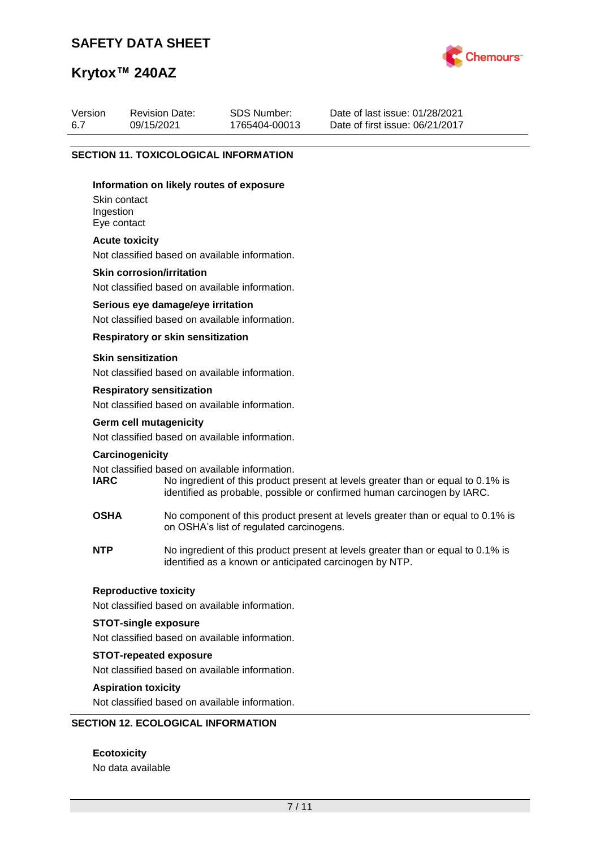### **SAFETY DATA SHEET**

Revision Date: 09/15/2021



Date of last issue: 01/28/2021 Date of first issue: 06/21/2017

# **Krytox™ 240AZ**

Version 6.7

|  |                                                                                                                                                                 | <b>SECTION 11. TOXICOLOGICAL INFORMATION</b>                                                                                                                                                                  |  |  |  |  |
|--|-----------------------------------------------------------------------------------------------------------------------------------------------------------------|---------------------------------------------------------------------------------------------------------------------------------------------------------------------------------------------------------------|--|--|--|--|
|  | Information on likely routes of exposure<br>Skin contact<br>Ingestion<br>Eye contact                                                                            |                                                                                                                                                                                                               |  |  |  |  |
|  | <b>Acute toxicity</b>                                                                                                                                           | Not classified based on available information.                                                                                                                                                                |  |  |  |  |
|  | <b>Skin corrosion/irritation</b>                                                                                                                                | Not classified based on available information.                                                                                                                                                                |  |  |  |  |
|  |                                                                                                                                                                 | Serious eye damage/eye irritation<br>Not classified based on available information.                                                                                                                           |  |  |  |  |
|  |                                                                                                                                                                 | <b>Respiratory or skin sensitization</b>                                                                                                                                                                      |  |  |  |  |
|  | <b>Skin sensitization</b>                                                                                                                                       | Not classified based on available information.                                                                                                                                                                |  |  |  |  |
|  | <b>Respiratory sensitization</b><br>Not classified based on available information.                                                                              |                                                                                                                                                                                                               |  |  |  |  |
|  | <b>Germ cell mutagenicity</b><br>Not classified based on available information.                                                                                 |                                                                                                                                                                                                               |  |  |  |  |
|  | Carcinogenicity<br><b>IARC</b>                                                                                                                                  | Not classified based on available information.<br>No ingredient of this product present at levels greater than or equal to 0.1% is<br>identified as probable, possible or confirmed human carcinogen by IARC. |  |  |  |  |
|  | <b>OSHA</b>                                                                                                                                                     | No component of this product present at levels greater than or equal to 0.1% is<br>on OSHA's list of regulated carcinogens.                                                                                   |  |  |  |  |
|  | <b>NTP</b>                                                                                                                                                      | No ingredient of this product present at levels greater than or equal to 0.1% is<br>identified as a known or anticipated carcinogen by NTP.                                                                   |  |  |  |  |
|  | <b>Reproductive toxicity</b><br>Not classified based on available information.<br><b>STOT-single exposure</b><br>Not classified based on available information. |                                                                                                                                                                                                               |  |  |  |  |
|  |                                                                                                                                                                 |                                                                                                                                                                                                               |  |  |  |  |
|  | <b>STOT-repeated exposure</b><br>Not classified based on available information.                                                                                 |                                                                                                                                                                                                               |  |  |  |  |
|  | <b>Aspiration toxicity</b>                                                                                                                                      | Not classified based on available information.                                                                                                                                                                |  |  |  |  |

SDS Number: 1765404-00013

### **SECTION 12. ECOLOGICAL INFORMATION**

**Ecotoxicity** No data available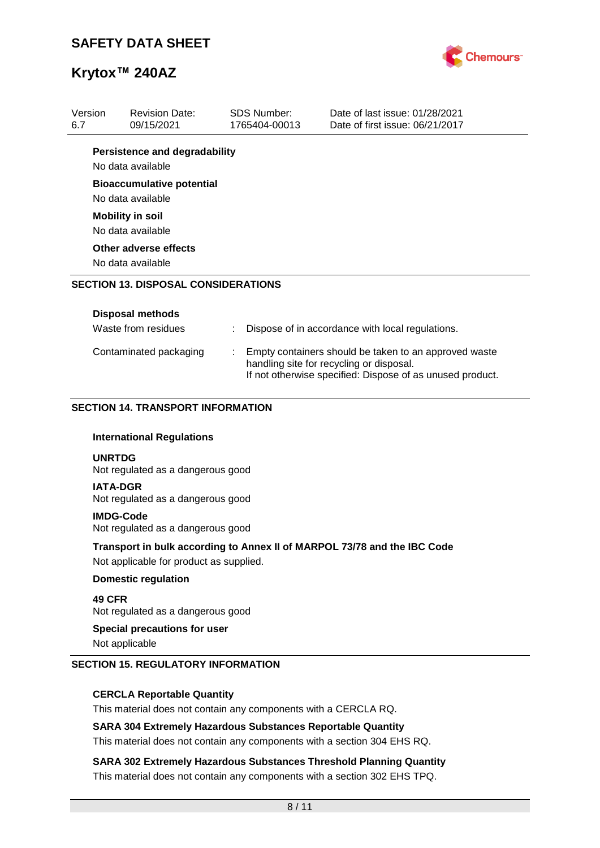

| Version                                    | <b>Revision Date:</b>                                     |  | <b>SDS Number:</b>                                                                                                                                             | Date of last issue: 01/28/2021                                           |  |
|--------------------------------------------|-----------------------------------------------------------|--|----------------------------------------------------------------------------------------------------------------------------------------------------------------|--------------------------------------------------------------------------|--|
| 6.7                                        | 09/15/2021                                                |  | 1765404-00013                                                                                                                                                  | Date of first issue: 06/21/2017                                          |  |
|                                            | <b>Persistence and degradability</b><br>No data available |  |                                                                                                                                                                |                                                                          |  |
|                                            | <b>Bioaccumulative potential</b><br>No data available     |  |                                                                                                                                                                |                                                                          |  |
|                                            | <b>Mobility in soil</b><br>No data available              |  |                                                                                                                                                                |                                                                          |  |
| Other adverse effects<br>No data available |                                                           |  |                                                                                                                                                                |                                                                          |  |
|                                            | <b>SECTION 13. DISPOSAL CONSIDERATIONS</b>                |  |                                                                                                                                                                |                                                                          |  |
|                                            | <b>Disposal methods</b><br>Waste from residues            |  |                                                                                                                                                                | Dispose of in accordance with local regulations.                         |  |
|                                            | Contaminated packaging                                    |  | Empty containers should be taken to an approved waste<br>handling site for recycling or disposal.<br>If not otherwise specified: Dispose of as unused product. |                                                                          |  |
|                                            |                                                           |  |                                                                                                                                                                |                                                                          |  |
|                                            | <b>SECTION 14. TRANSPORT INFORMATION</b>                  |  |                                                                                                                                                                |                                                                          |  |
|                                            | <b>International Regulations</b>                          |  |                                                                                                                                                                |                                                                          |  |
|                                            | <b>UNRTDG</b><br>Not regulated as a dangerous good        |  |                                                                                                                                                                |                                                                          |  |
|                                            | <b>IATA-DGR</b><br>Not regulated as a dangerous good      |  |                                                                                                                                                                |                                                                          |  |
|                                            | <b>IMDG-Code</b><br>Not regulated as a dangerous good     |  |                                                                                                                                                                |                                                                          |  |
|                                            | Not applicable for product as supplied.                   |  |                                                                                                                                                                | Transport in bulk according to Annex II of MARPOL 73/78 and the IBC Code |  |
|                                            | <b>Domestic regulation</b>                                |  |                                                                                                                                                                |                                                                          |  |
| 49 CFR                                     | Not regulated as a dangerous good                         |  |                                                                                                                                                                |                                                                          |  |

### **CERCLA Reportable Quantity**

This material does not contain any components with a CERCLA RQ.

### **SARA 304 Extremely Hazardous Substances Reportable Quantity**

This material does not contain any components with a section 304 EHS RQ.

**SARA 302 Extremely Hazardous Substances Threshold Planning Quantity** This material does not contain any components with a section 302 EHS TPQ.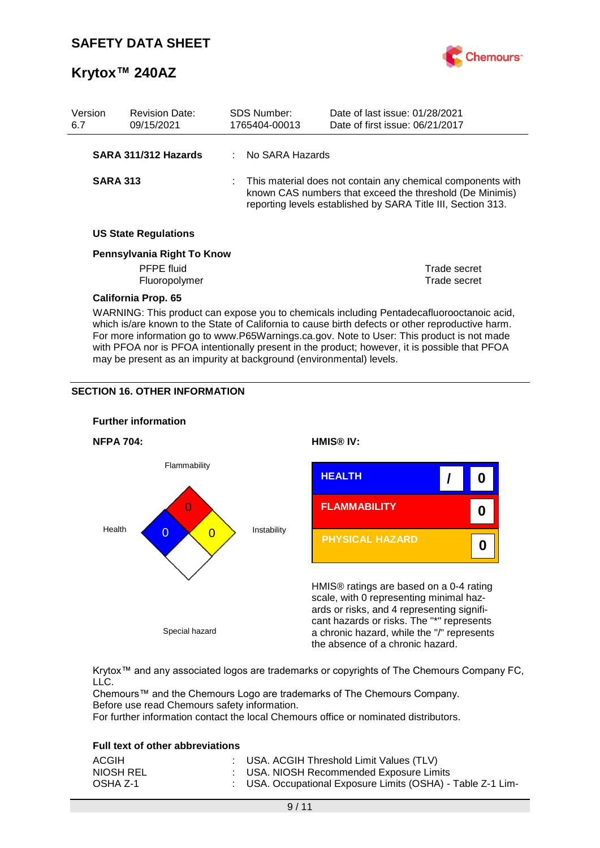

| Version<br>6.7 | <b>Revision Date:</b><br>09/15/2021                                                                                                              |  | <b>SDS Number:</b><br>1765404-00013                                                                                                                                                     | Date of last issue: 01/28/2021<br>Date of first issue: 06/21/2017                                                                                                                                                                                                                          |  |
|----------------|--------------------------------------------------------------------------------------------------------------------------------------------------|--|-----------------------------------------------------------------------------------------------------------------------------------------------------------------------------------------|--------------------------------------------------------------------------------------------------------------------------------------------------------------------------------------------------------------------------------------------------------------------------------------------|--|
|                | SARA 311/312 Hazards                                                                                                                             |  | : No SARA Hazards                                                                                                                                                                       |                                                                                                                                                                                                                                                                                            |  |
|                | <b>SARA 313</b><br><b>US State Regulations</b><br>Pennsylvania Right To Know<br><b>PFPE</b> fluid<br>Fluoropolymer<br><b>California Prop. 65</b> |  | This material does not contain any chemical components with<br>known CAS numbers that exceed the threshold (De Minimis)<br>reporting levels established by SARA Title III, Section 313. |                                                                                                                                                                                                                                                                                            |  |
|                |                                                                                                                                                  |  |                                                                                                                                                                                         |                                                                                                                                                                                                                                                                                            |  |
|                |                                                                                                                                                  |  |                                                                                                                                                                                         |                                                                                                                                                                                                                                                                                            |  |
|                |                                                                                                                                                  |  |                                                                                                                                                                                         | Trade secret<br>Trade secret                                                                                                                                                                                                                                                               |  |
|                |                                                                                                                                                  |  |                                                                                                                                                                                         |                                                                                                                                                                                                                                                                                            |  |
|                |                                                                                                                                                  |  |                                                                                                                                                                                         | WARNING: This product can expose you to chemicals including Pentadecafluorooctanoic acid,<br>which is/are known to the State of California to cause birth defects or other reproductive harm.<br>For more information go to www.P65Warnings.ca.gov. Note to User: This product is not made |  |

with PFOA nor is PFOA intentionally present in the product; however, it is possible that PFOA

may be present as an impurity at background (environmental) levels.

### **SECTION 16. OTHER INFORMATION**



Krytox™ and any associated logos are trademarks or copyrights of The Chemours Company FC, LLC.

Chemours™ and the Chemours Logo are trademarks of The Chemours Company. Before use read Chemours safety information.

For further information contact the local Chemours office or nominated distributors.

#### **Full text of other abbreviations**

| ACGIH     | : USA. ACGIH Threshold Limit Values (TLV)                   |
|-----------|-------------------------------------------------------------|
| NIOSH REL | : USA. NIOSH Recommended Exposure Limits                    |
| OSHA Z-1  | : USA. Occupational Exposure Limits (OSHA) - Table Z-1 Lim- |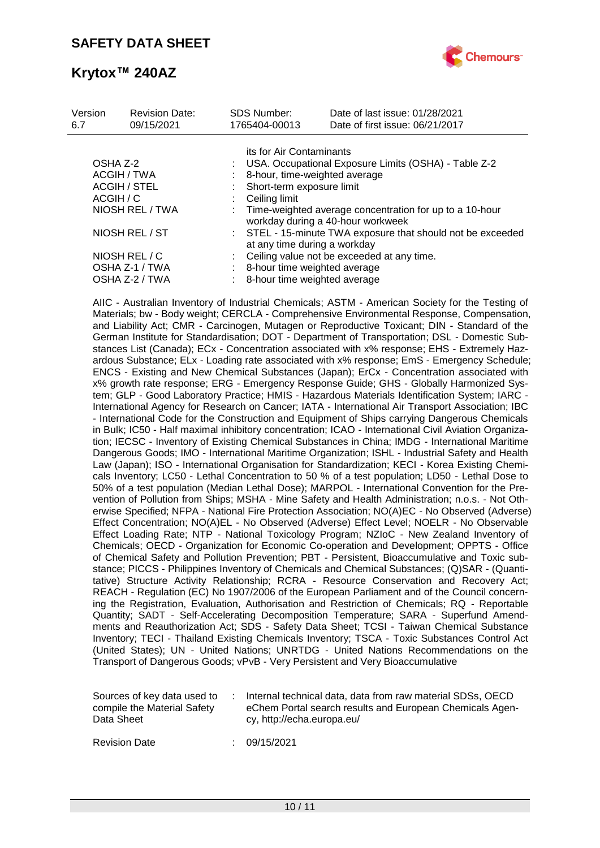

| Version<br>6.7                                 | <b>Revision Date:</b><br>09/15/2021 |                           | <b>SDS Number:</b><br>1765404-00013                                                         | Date of last issue: 01/28/2021<br>Date of first issue: 06/21/2017                              |  |  |  |  |
|------------------------------------------------|-------------------------------------|---------------------------|---------------------------------------------------------------------------------------------|------------------------------------------------------------------------------------------------|--|--|--|--|
|                                                |                                     |                           | its for Air Contaminants                                                                    |                                                                                                |  |  |  |  |
| OSHA Z-2                                       |                                     |                           | USA. Occupational Exposure Limits (OSHA) - Table Z-2                                        |                                                                                                |  |  |  |  |
| ACGIH / TWA                                    |                                     |                           | 8-hour, time-weighted average                                                               |                                                                                                |  |  |  |  |
| <b>ACGIH / STEL</b>                            |                                     | Short-term exposure limit |                                                                                             |                                                                                                |  |  |  |  |
| ACGIH / C<br>NIOSH REL / TWA<br>NIOSH REL / ST |                                     |                           | Ceiling limit                                                                               |                                                                                                |  |  |  |  |
|                                                |                                     |                           |                                                                                             | : Time-weighted average concentration for up to a 10-hour<br>workday during a 40-hour workweek |  |  |  |  |
|                                                |                                     |                           | : STEL - 15-minute TWA exposure that should not be exceeded<br>at any time during a workday |                                                                                                |  |  |  |  |
|                                                | NIOSH REL / C                       |                           |                                                                                             | Ceiling value not be exceeded at any time.                                                     |  |  |  |  |
|                                                | OSHA Z-1 / TWA                      |                           | 8-hour time weighted average                                                                |                                                                                                |  |  |  |  |
|                                                | OSHA Z-2 / TWA                      |                           | 8-hour time weighted average                                                                |                                                                                                |  |  |  |  |

AIIC - Australian Inventory of Industrial Chemicals; ASTM - American Society for the Testing of Materials; bw - Body weight; CERCLA - Comprehensive Environmental Response, Compensation, and Liability Act; CMR - Carcinogen, Mutagen or Reproductive Toxicant; DIN - Standard of the German Institute for Standardisation; DOT - Department of Transportation; DSL - Domestic Substances List (Canada); ECx - Concentration associated with x% response; EHS - Extremely Hazardous Substance; ELx - Loading rate associated with x% response; EmS - Emergency Schedule; ENCS - Existing and New Chemical Substances (Japan); ErCx - Concentration associated with x% growth rate response; ERG - Emergency Response Guide; GHS - Globally Harmonized System; GLP - Good Laboratory Practice; HMIS - Hazardous Materials Identification System; IARC - International Agency for Research on Cancer; IATA - International Air Transport Association; IBC - International Code for the Construction and Equipment of Ships carrying Dangerous Chemicals in Bulk; IC50 - Half maximal inhibitory concentration; ICAO - International Civil Aviation Organization; IECSC - Inventory of Existing Chemical Substances in China; IMDG - International Maritime Dangerous Goods; IMO - International Maritime Organization; ISHL - Industrial Safety and Health Law (Japan); ISO - International Organisation for Standardization; KECI - Korea Existing Chemicals Inventory; LC50 - Lethal Concentration to 50 % of a test population; LD50 - Lethal Dose to 50% of a test population (Median Lethal Dose); MARPOL - International Convention for the Prevention of Pollution from Ships; MSHA - Mine Safety and Health Administration; n.o.s. - Not Otherwise Specified; NFPA - National Fire Protection Association; NO(A)EC - No Observed (Adverse) Effect Concentration; NO(A)EL - No Observed (Adverse) Effect Level; NOELR - No Observable Effect Loading Rate; NTP - National Toxicology Program; NZIoC - New Zealand Inventory of Chemicals; OECD - Organization for Economic Co-operation and Development; OPPTS - Office of Chemical Safety and Pollution Prevention; PBT - Persistent, Bioaccumulative and Toxic substance; PICCS - Philippines Inventory of Chemicals and Chemical Substances; (Q)SAR - (Quantitative) Structure Activity Relationship; RCRA - Resource Conservation and Recovery Act; REACH - Regulation (EC) No 1907/2006 of the European Parliament and of the Council concerning the Registration, Evaluation, Authorisation and Restriction of Chemicals; RQ - Reportable Quantity; SADT - Self-Accelerating Decomposition Temperature; SARA - Superfund Amendments and Reauthorization Act; SDS - Safety Data Sheet; TCSI - Taiwan Chemical Substance Inventory; TECI - Thailand Existing Chemicals Inventory; TSCA - Toxic Substances Control Act (United States); UN - United Nations; UNRTDG - United Nations Recommendations on the Transport of Dangerous Goods; vPvB - Very Persistent and Very Bioaccumulative

| Sources of key data used to | Internal technical data, data from raw material SDSs, OECD |
|-----------------------------|------------------------------------------------------------|
| compile the Material Safety | eChem Portal search results and European Chemicals Agen-   |
| Data Sheet                  | cy, http://echa.europa.eu/                                 |

Revision Date : 09/15/2021